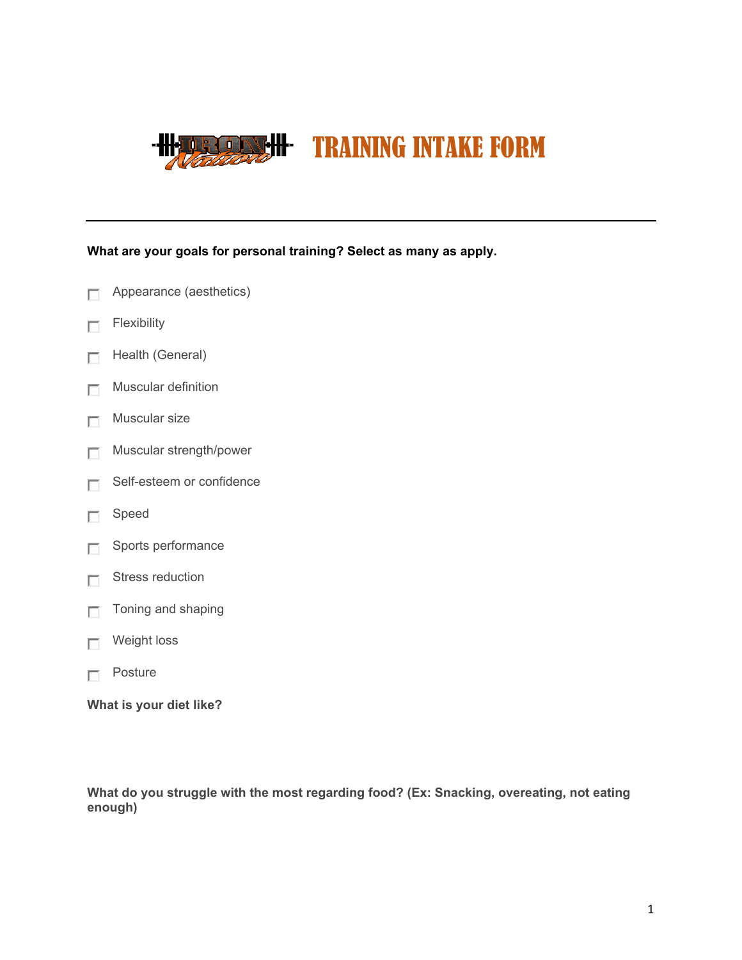

**What are your goals for personal training? Select as many as apply.**

- $\overline{\mathbb{R}^n}$ Appearance (aesthetics)
- Flexibility  $\sqrt{2}$
- Health (General)  $\Box$
- Muscular definition  $\Box$
- Muscular size  $\overline{\phantom{a}}$
- Muscular strength/power  $\sim$
- Self-esteem or confidence  $\overline{\mathbb{R}^n}$
- $\overline{\mathbb{R}^n}$ Speed
- Sports performance 55
- Stress reduction  $\overline{\mathbb{R}^n}$
- $\Box$  Toning and shaping
- **Neight loss**
- **Posture**

**What is your diet like?**

**What do you struggle with the most regarding food? (Ex: Snacking, overeating, not eating enough)**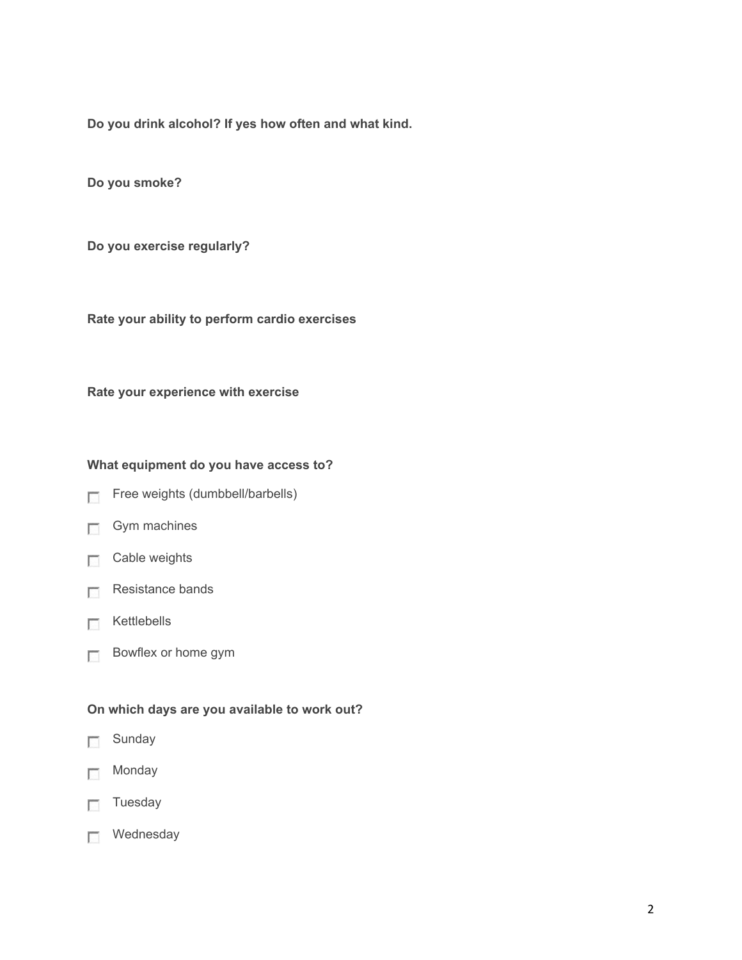**Do you drink alcohol? If yes how often and what kind.**

**Do you smoke?**

**Do you exercise regularly?**

**Rate your ability to perform cardio exercises**

**Rate your experience with exercise**

## **What equipment do you have access to?**

- Free weights (dumbbell/barbells)
- $\Box$  Gym machines
- $\Box$  Cable weights
- $R$ esistance bands
- $R$  Kettlebells
- **Bowflex or home gym**

## **On which days are you available to work out?**

- **Sunday**
- **Monday**
- $\Box$  Tuesday
- **Mednesday**